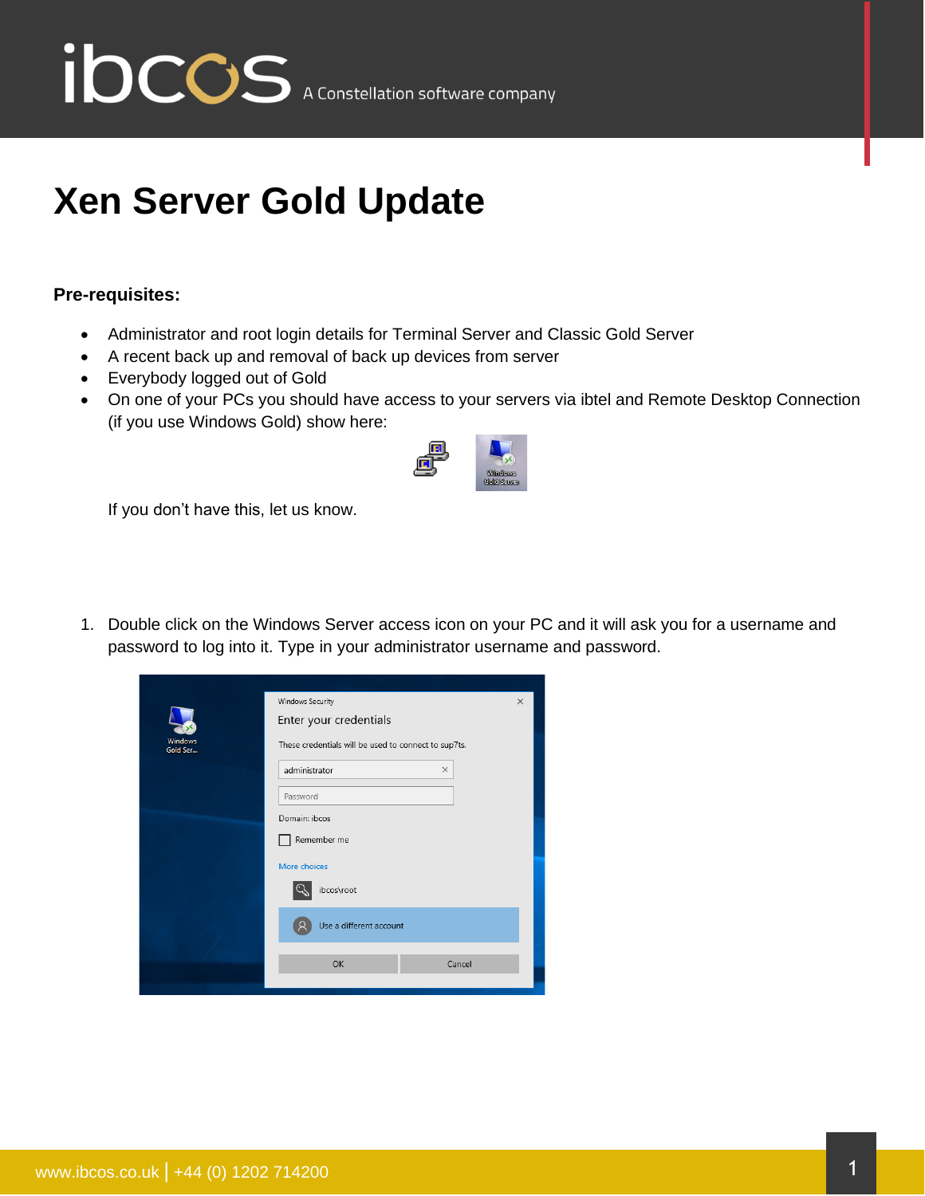

# **Xen Server Gold Update**

### **Pre-requisites:**

- Administrator and root login details for Terminal Server and Classic Gold Server
- A recent back up and removal of back up devices from server
- Everybody logged out of Gold
- On one of your PCs you should have access to your servers via ibtel and Remote Desktop Connection (if you use Windows Gold) show here:



If you don't have this, let us know.

1. Double click on the Windows Server access icon on your PC and it will ask you for a username and password to log into it. Type in your administrator username and password.

| Windows<br>Gold Ser          | Windows Security                                     | $\times$ |  |  |
|------------------------------|------------------------------------------------------|----------|--|--|
|                              | Enter your credentials                               |          |  |  |
|                              | These credentials will be used to connect to sup7ts. |          |  |  |
|                              | administrator<br>$\times$                            |          |  |  |
|                              | Password                                             |          |  |  |
| Domain: ibcos<br>Remember me |                                                      |          |  |  |
|                              |                                                      |          |  |  |
|                              |                                                      |          |  |  |
| Use a different account      |                                                      |          |  |  |
|                              | OK<br>Cancel                                         |          |  |  |
|                              |                                                      |          |  |  |
|                              |                                                      |          |  |  |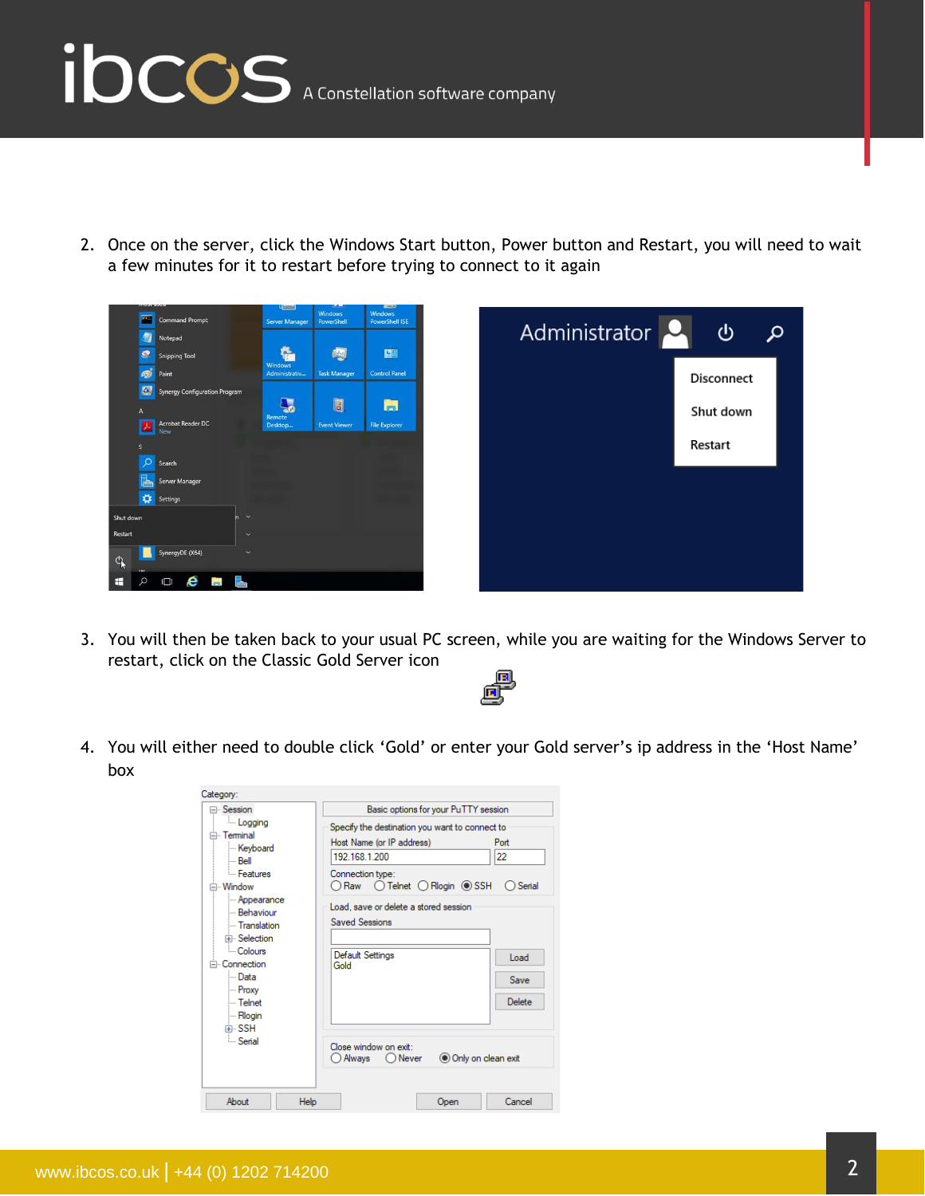

2. Once on the server, click the Windows Start button, Power button and Restart, you will need to wait a few minutes for it to restart before trying to connect to it again





3. You will then be taken back to your usual PC screen, while you are waiting for the Windows Server to restart, click on the Classic Gold Server icon



4. You will either need to double click 'Gold' or enter your Gold server's ip address in the 'Host Name' box

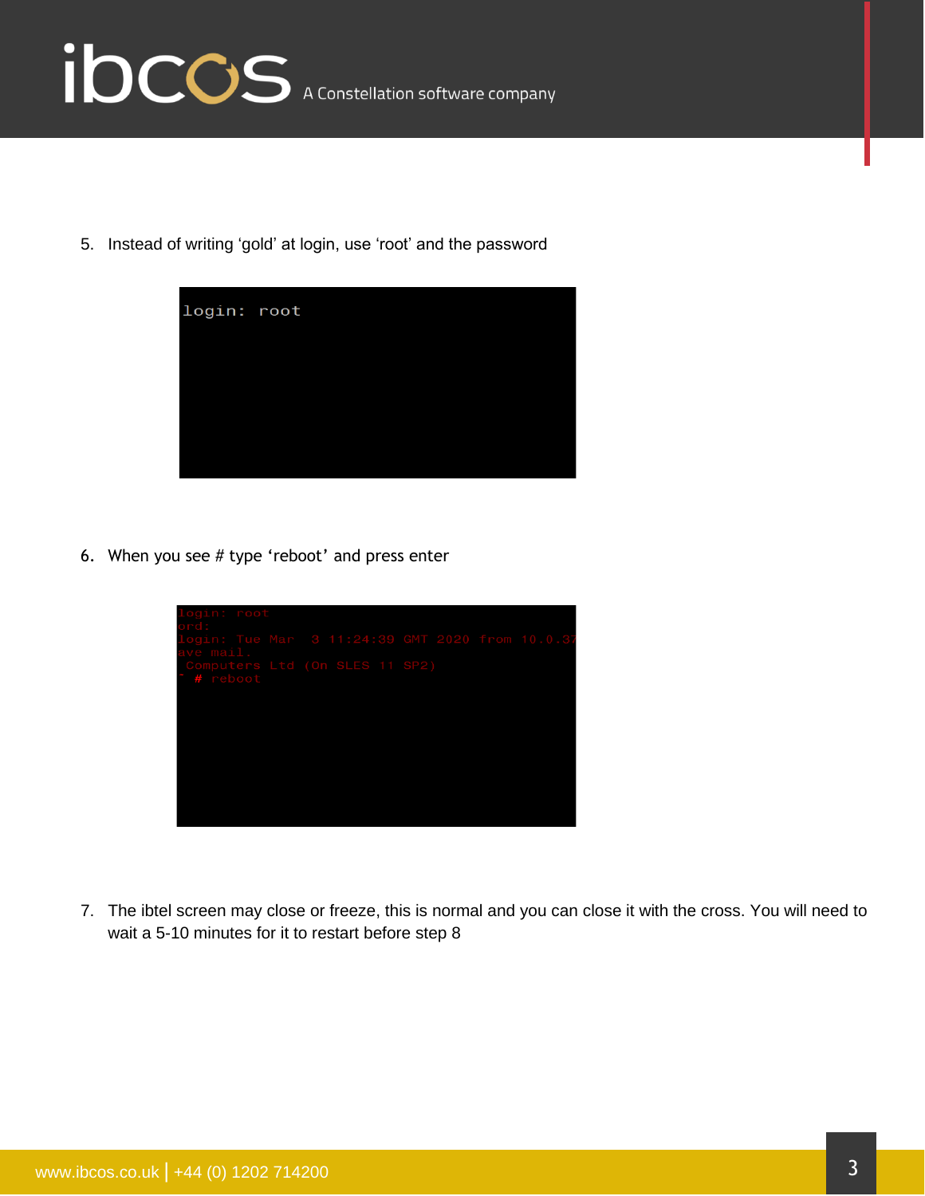

5. Instead of writing 'gold' at login, use 'root' and the password



6. When you see # type 'reboot' and press enter



7. The ibtel screen may close or freeze, this is normal and you can close it with the cross. You will need to wait a 5-10 minutes for it to restart before step 8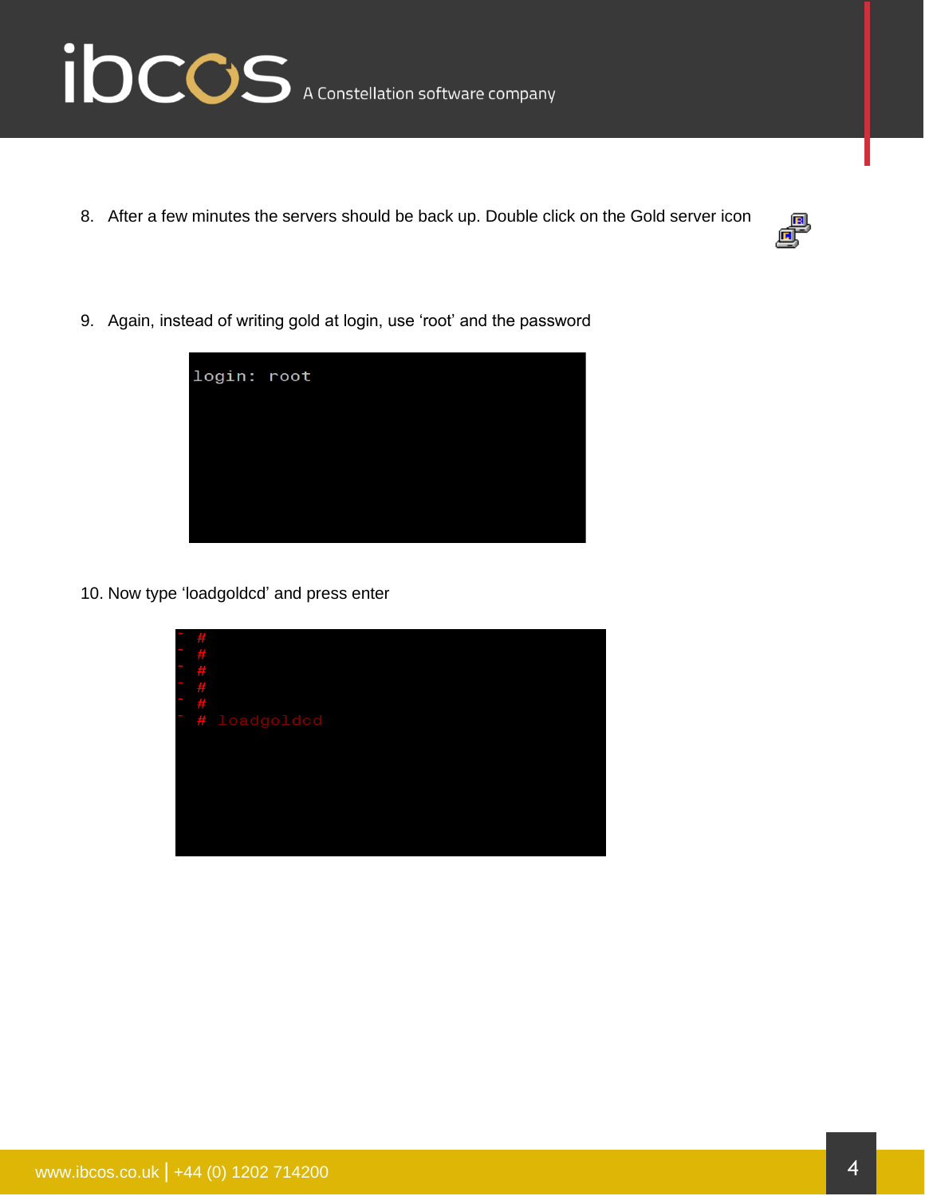

8. After a few minutes the servers should be back up. Double click on the Gold server icon



9. Again, instead of writing gold at login, use 'root' and the password



10. Now type 'loadgoldcd' and press enter

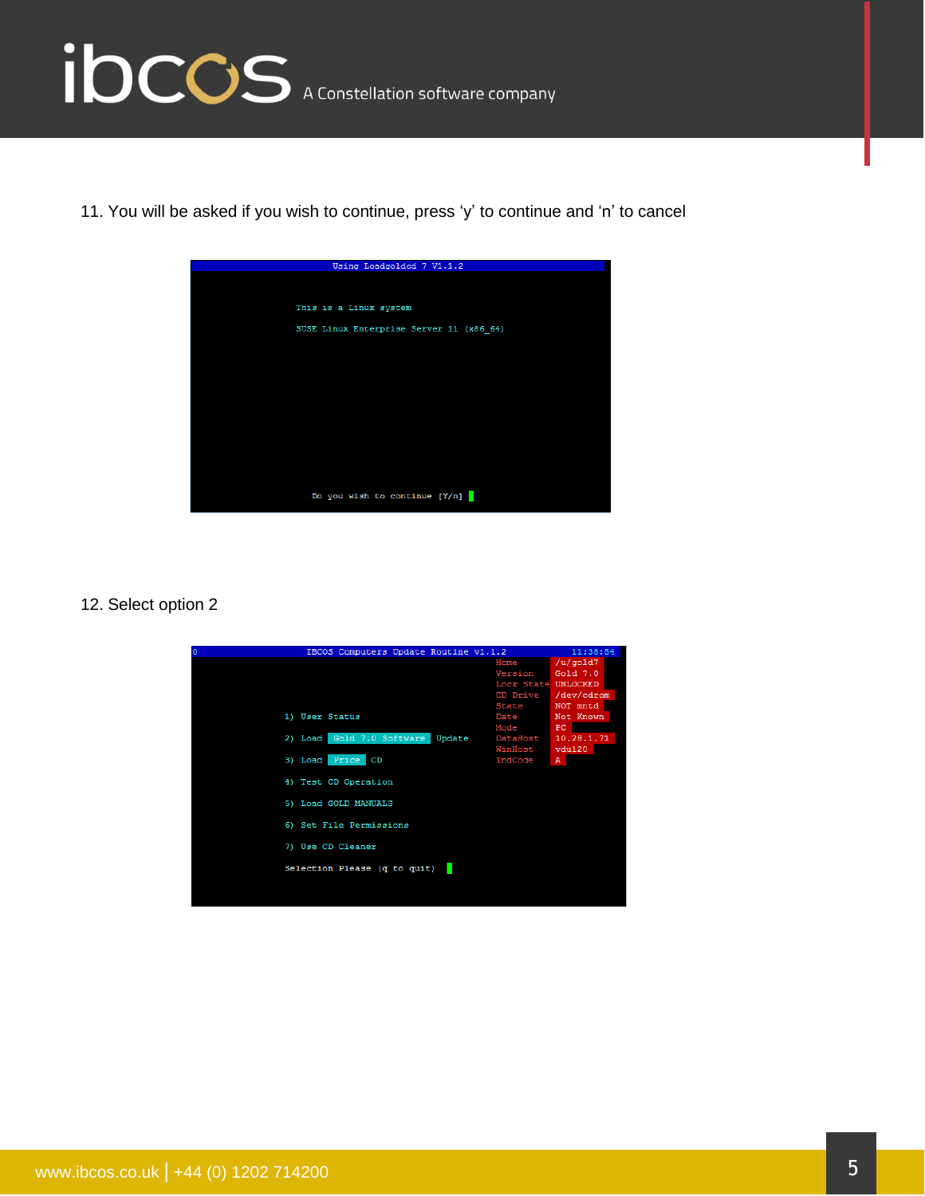

11. You will be asked if you wish to continue, press 'y' to continue and 'n' to cancel



#### 12. Select option 2

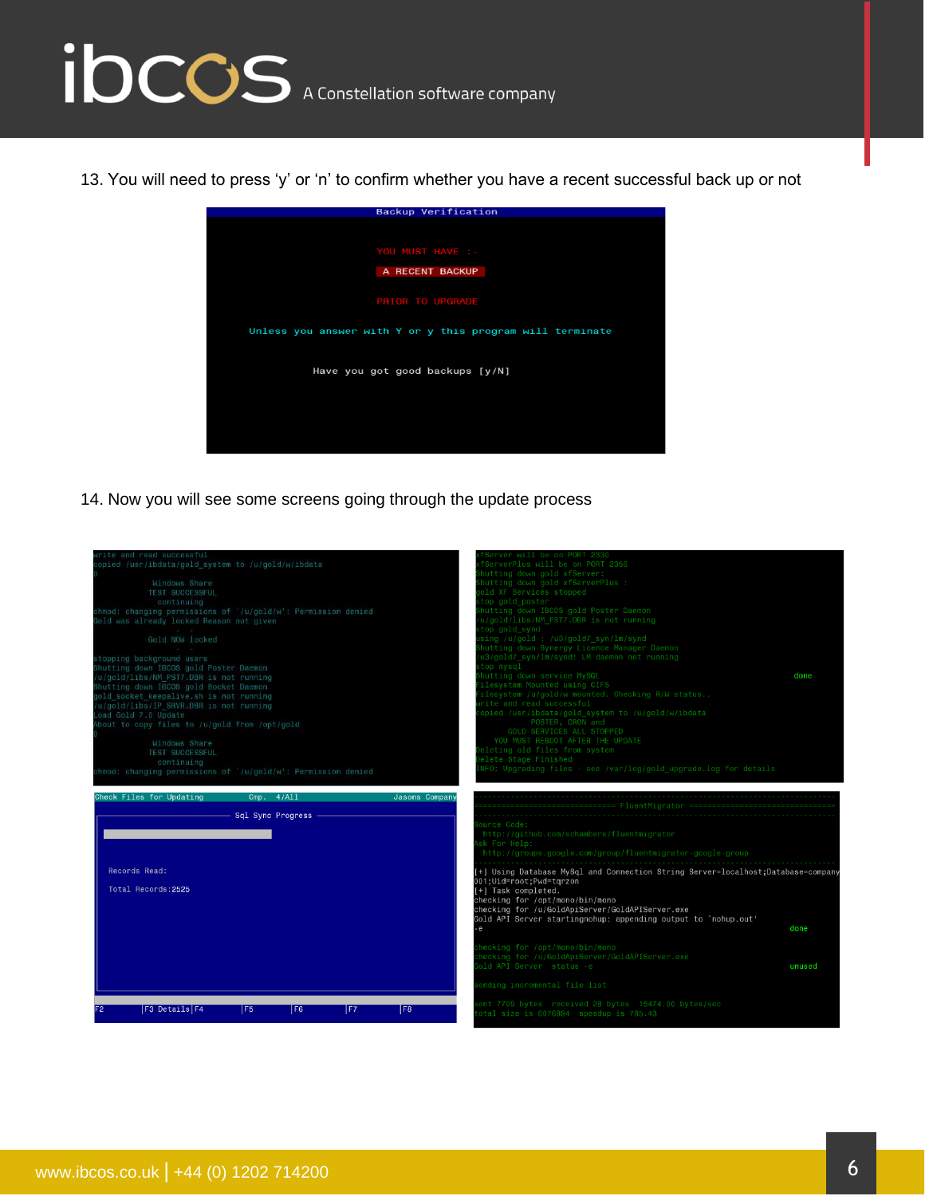# ibccos A Constellation software company

13. You will need to press 'y' or 'n' to confirm whether you have a recent successful back up or not



14. Now you will see some screens going through the update process